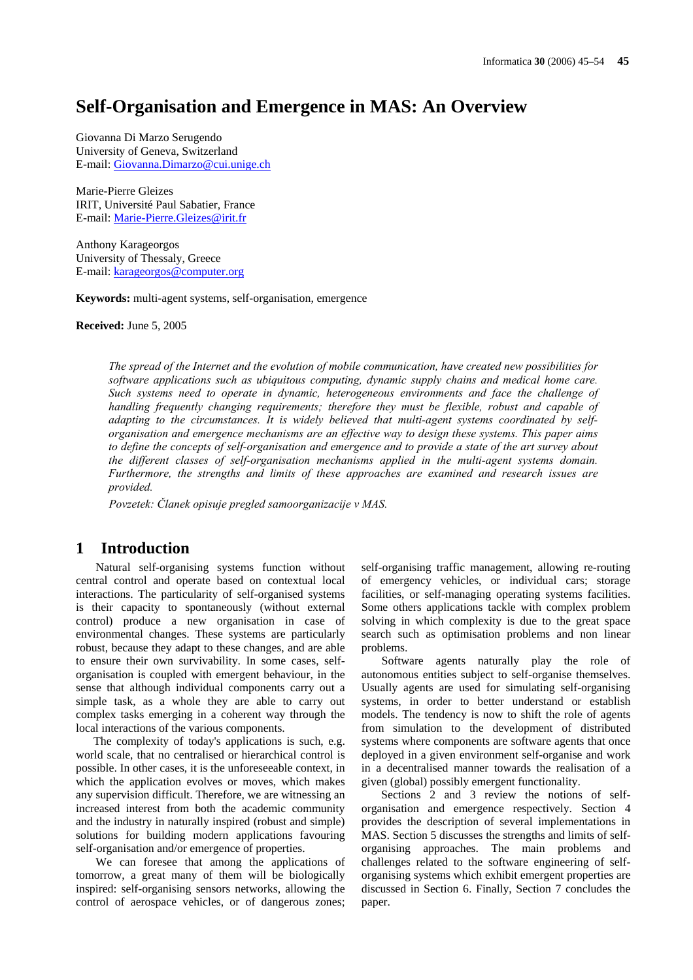# **Self-Organisation and Emergence in MAS: An Overview**

Giovanna Di Marzo Serugendo University of Geneva, Switzerland E-mail: Giovanna.Dimarzo@cui.unige.ch

Marie-Pierre Gleizes IRIT, Université Paul Sabatier, France E-mail: Marie-Pierre.Gleizes@irit.fr

Anthony Karageorgos University of Thessaly, Greece E-mail: karageorgos@computer.org

**Keywords:** multi-agent systems, self-organisation, emergence

**Received:** June 5, 2005

*The spread of the Internet and the evolution of mobile communication, have created new possibilities for software applications such as ubiquitous computing, dynamic supply chains and medical home care. Such systems need to operate in dynamic, heterogeneous environments and face the challenge of handling frequently changing requirements; therefore they must be flexible, robust and capable of adapting to the circumstances. It is widely believed that multi-agent systems coordinated by selforganisation and emergence mechanisms are an effective way to design these systems. This paper aims to define the concepts of self-organisation and emergence and to provide a state of the art survey about the different classes of self-organisation mechanisms applied in the multi-agent systems domain. Furthermore, the strengths and limits of these approaches are examined and research issues are provided.* 

*Povzetek: Članek opisuje pregled samoorganizacije v MAS.* 

### **1 Introduction**

Natural self-organising systems function without central control and operate based on contextual local interactions. The particularity of self-organised systems is their capacity to spontaneously (without external control) produce a new organisation in case of environmental changes. These systems are particularly robust, because they adapt to these changes, and are able to ensure their own survivability. In some cases, selforganisation is coupled with emergent behaviour, in the sense that although individual components carry out a simple task, as a whole they are able to carry out complex tasks emerging in a coherent way through the local interactions of the various components.

 The complexity of today's applications is such, e.g. world scale, that no centralised or hierarchical control is possible. In other cases, it is the unforeseeable context, in which the application evolves or moves, which makes any supervision difficult. Therefore, we are witnessing an increased interest from both the academic community and the industry in naturally inspired (robust and simple) solutions for building modern applications favouring self-organisation and/or emergence of properties.

We can foresee that among the applications of tomorrow, a great many of them will be biologically inspired: self-organising sensors networks, allowing the control of aerospace vehicles, or of dangerous zones; self-organising traffic management, allowing re-routing of emergency vehicles, or individual cars; storage facilities, or self-managing operating systems facilities. Some others applications tackle with complex problem solving in which complexity is due to the great space search such as optimisation problems and non linear problems.

Software agents naturally play the role of autonomous entities subject to self-organise themselves. Usually agents are used for simulating self-organising systems, in order to better understand or establish models. The tendency is now to shift the role of agents from simulation to the development of distributed systems where components are software agents that once deployed in a given environment self-organise and work in a decentralised manner towards the realisation of a given (global) possibly emergent functionality.

Sections 2 and 3 review the notions of selforganisation and emergence respectively. Section 4 provides the description of several implementations in MAS. Section 5 discusses the strengths and limits of selforganising approaches. The main problems and challenges related to the software engineering of selforganising systems which exhibit emergent properties are discussed in Section 6. Finally, Section 7 concludes the paper.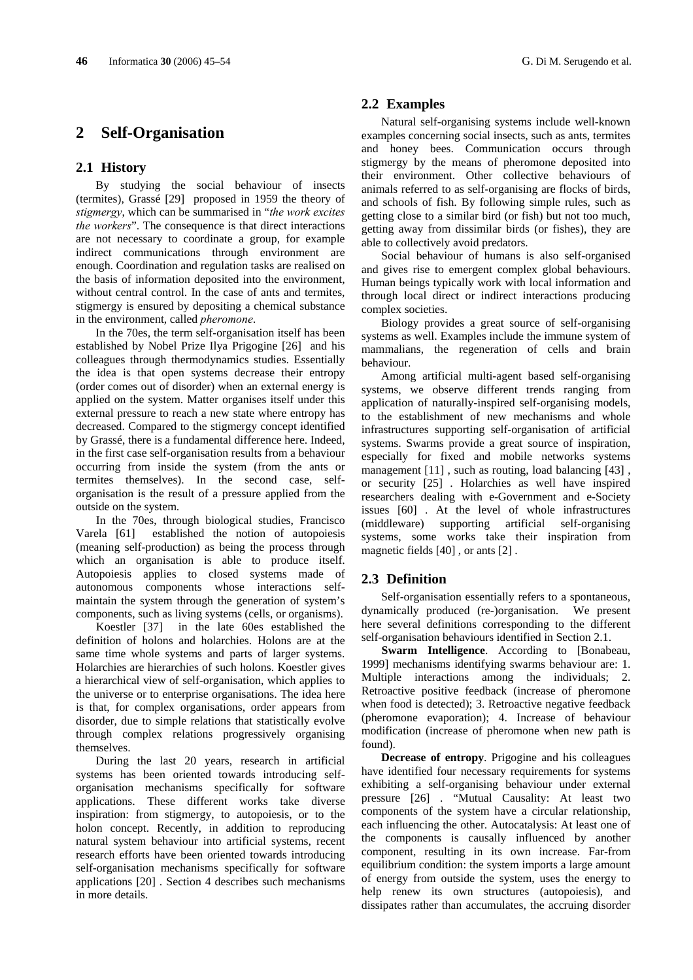## **2 Self-Organisation**

#### **2.1 History**

By studying the social behaviour of insects (termites), Grassé [29] proposed in 1959 the theory of *stigmergy*, which can be summarised in "*the work excites the workers*". The consequence is that direct interactions are not necessary to coordinate a group, for example indirect communications through environment are enough. Coordination and regulation tasks are realised on the basis of information deposited into the environment, without central control. In the case of ants and termites, stigmergy is ensured by depositing a chemical substance in the environment, called *pheromone*.

In the 70es, the term self-organisation itself has been established by Nobel Prize Ilya Prigogine [26] and his colleagues through thermodynamics studies. Essentially the idea is that open systems decrease their entropy (order comes out of disorder) when an external energy is applied on the system. Matter organises itself under this external pressure to reach a new state where entropy has decreased. Compared to the stigmergy concept identified by Grassé, there is a fundamental difference here. Indeed, in the first case self-organisation results from a behaviour occurring from inside the system (from the ants or termites themselves). In the second case, selforganisation is the result of a pressure applied from the outside on the system.

In the 70es, through biological studies, Francisco Varela [61] established the notion of autopoiesis (meaning self-production) as being the process through which an organisation is able to produce itself. Autopoiesis applies to closed systems made of autonomous components whose interactions selfmaintain the system through the generation of system's components, such as living systems (cells, or organisms).

Koestler [37] in the late 60es established the definition of holons and holarchies. Holons are at the same time whole systems and parts of larger systems. Holarchies are hierarchies of such holons. Koestler gives a hierarchical view of self-organisation, which applies to the universe or to enterprise organisations. The idea here is that, for complex organisations, order appears from disorder, due to simple relations that statistically evolve through complex relations progressively organising themselves.

During the last 20 years, research in artificial systems has been oriented towards introducing selforganisation mechanisms specifically for software applications. These different works take diverse inspiration: from stigmergy, to autopoiesis, or to the holon concept. Recently, in addition to reproducing natural system behaviour into artificial systems, recent research efforts have been oriented towards introducing self-organisation mechanisms specifically for software applications [20] . Section 4 describes such mechanisms in more details.

#### **2.2 Examples**

Natural self-organising systems include well-known examples concerning social insects, such as ants, termites and honey bees. Communication occurs through stigmergy by the means of pheromone deposited into their environment. Other collective behaviours of animals referred to as self-organising are flocks of birds, and schools of fish. By following simple rules, such as getting close to a similar bird (or fish) but not too much, getting away from dissimilar birds (or fishes), they are able to collectively avoid predators.

Social behaviour of humans is also self-organised and gives rise to emergent complex global behaviours. Human beings typically work with local information and through local direct or indirect interactions producing complex societies.

Biology provides a great source of self-organising systems as well. Examples include the immune system of mammalians, the regeneration of cells and brain behaviour.

Among artificial multi-agent based self-organising systems, we observe different trends ranging from application of naturally-inspired self-organising models, to the establishment of new mechanisms and whole infrastructures supporting self-organisation of artificial systems. Swarms provide a great source of inspiration, especially for fixed and mobile networks systems management [11], such as routing, load balancing [43], or security [25] . Holarchies as well have inspired researchers dealing with e-Government and e-Society issues [60] . At the level of whole infrastructures (middleware) supporting artificial self-organising systems, some works take their inspiration from magnetic fields [40] , or ants [2] .

#### **2.3 Definition**

Self-organisation essentially refers to a spontaneous, dynamically produced (re-)organisation. We present here several definitions corresponding to the different self-organisation behaviours identified in Section 2.1.

**Swarm Intelligence**. According to [Bonabeau, 1999] mechanisms identifying swarms behaviour are: 1. Multiple interactions among the individuals; 2. Retroactive positive feedback (increase of pheromone when food is detected); 3. Retroactive negative feedback (pheromone evaporation); 4. Increase of behaviour modification (increase of pheromone when new path is found).

**Decrease of entropy**. Prigogine and his colleagues have identified four necessary requirements for systems exhibiting a self-organising behaviour under external pressure [26] . "Mutual Causality: At least two components of the system have a circular relationship, each influencing the other. Autocatalysis: At least one of the components is causally influenced by another component, resulting in its own increase. Far-from equilibrium condition: the system imports a large amount of energy from outside the system, uses the energy to help renew its own structures (autopoiesis), and dissipates rather than accumulates, the accruing disorder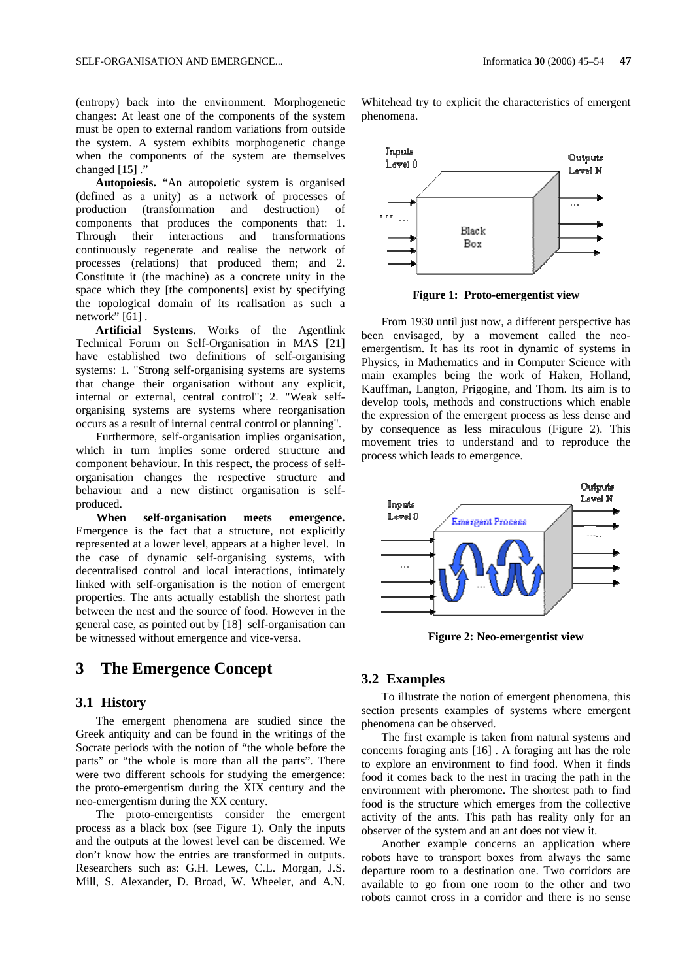(entropy) back into the environment. Morphogenetic changes: At least one of the components of the system must be open to external random variations from outside the system. A system exhibits morphogenetic change when the components of the system are themselves changed [15] ."

**Autopoiesis.** "An autopoietic system is organised (defined as a unity) as a network of processes of production (transformation and destruction) of components that produces the components that: 1. Through their interactions and transformations continuously regenerate and realise the network of processes (relations) that produced them; and 2. Constitute it (the machine) as a concrete unity in the space which they [the components] exist by specifying the topological domain of its realisation as such a network" [61].

**Artificial Systems.** Works of the Agentlink Technical Forum on Self-Organisation in MAS [21] have established two definitions of self-organising systems: 1. "Strong self-organising systems are systems that change their organisation without any explicit, internal or external, central control"; 2. "Weak selforganising systems are systems where reorganisation occurs as a result of internal central control or planning".

Furthermore, self-organisation implies organisation, which in turn implies some ordered structure and component behaviour. In this respect, the process of selforganisation changes the respective structure and behaviour and a new distinct organisation is selfproduced.

 **When self-organisation meets emergence.** Emergence is the fact that a structure, not explicitly represented at a lower level, appears at a higher level. In the case of dynamic self-organising systems, with decentralised control and local interactions, intimately linked with self-organisation is the notion of emergent properties. The ants actually establish the shortest path between the nest and the source of food. However in the general case, as pointed out by [18] self-organisation can be witnessed without emergence and vice-versa.

### **3 The Emergence Concept**

#### **3.1 History**

The emergent phenomena are studied since the Greek antiquity and can be found in the writings of the Socrate periods with the notion of "the whole before the parts" or "the whole is more than all the parts". There were two different schools for studying the emergence: the proto-emergentism during the XIX century and the neo-emergentism during the XX century.

The proto-emergentists consider the emergent process as a black box (see Figure 1). Only the inputs and the outputs at the lowest level can be discerned. We don't know how the entries are transformed in outputs. Researchers such as: G.H. Lewes, C.L. Morgan, J.S. Mill, S. Alexander, D. Broad, W. Wheeler, and A.N.

Whitehead try to explicit the characteristics of emergent phenomena.



**Figure 1: Proto-emergentist view** 

From 1930 until just now, a different perspective has been envisaged, by a movement called the neoemergentism. It has its root in dynamic of systems in Physics, in Mathematics and in Computer Science with main examples being the work of Haken, Holland, Kauffman, Langton, Prigogine, and Thom. Its aim is to develop tools, methods and constructions which enable the expression of the emergent process as less dense and by consequence as less miraculous (Figure 2). This movement tries to understand and to reproduce the process which leads to emergence.



**Figure 2: Neo-emergentist view** 

#### **3.2 Examples**

To illustrate the notion of emergent phenomena, this section presents examples of systems where emergent phenomena can be observed.

The first example is taken from natural systems and concerns foraging ants [16] . A foraging ant has the role to explore an environment to find food. When it finds food it comes back to the nest in tracing the path in the environment with pheromone. The shortest path to find food is the structure which emerges from the collective activity of the ants. This path has reality only for an observer of the system and an ant does not view it.

Another example concerns an application where robots have to transport boxes from always the same departure room to a destination one. Two corridors are available to go from one room to the other and two robots cannot cross in a corridor and there is no sense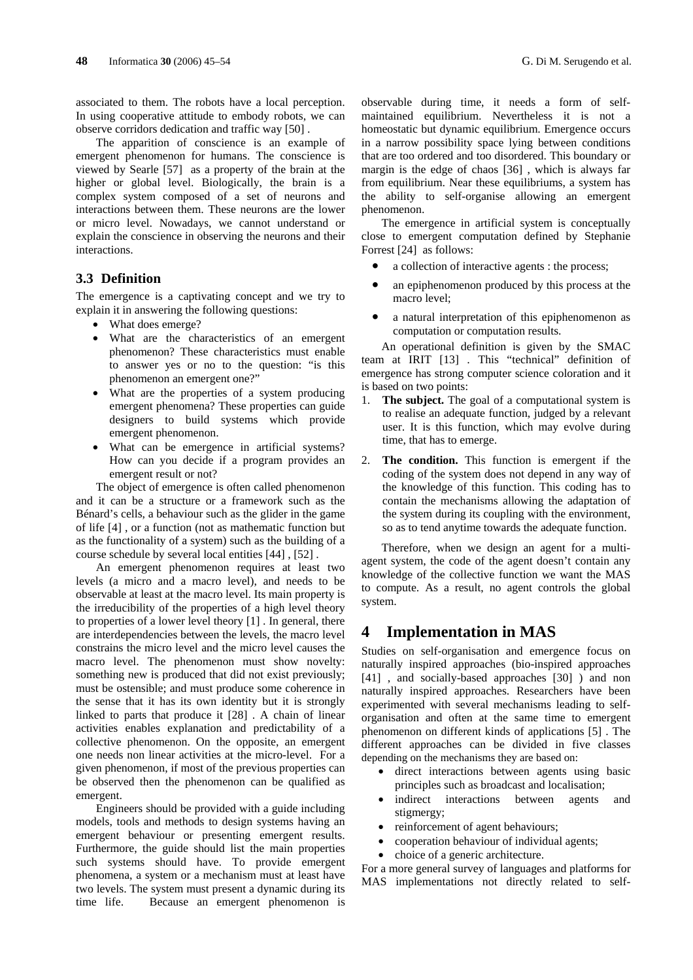associated to them. The robots have a local perception. In using cooperative attitude to embody robots, we can observe corridors dedication and traffic way [50] .

The apparition of conscience is an example of emergent phenomenon for humans. The conscience is viewed by Searle [57] as a property of the brain at the higher or global level. Biologically, the brain is a complex system composed of a set of neurons and interactions between them. These neurons are the lower or micro level. Nowadays, we cannot understand or explain the conscience in observing the neurons and their interactions.

#### **3.3 Definition**

The emergence is a captivating concept and we try to explain it in answering the following questions:

- What does emerge?
- What are the characteristics of an emergent phenomenon? These characteristics must enable to answer yes or no to the question: "is this phenomenon an emergent one?"
- What are the properties of a system producing emergent phenomena? These properties can guide designers to build systems which provide emergent phenomenon.
- What can be emergence in artificial systems? How can you decide if a program provides an emergent result or not?

The object of emergence is often called phenomenon and it can be a structure or a framework such as the Bénard's cells, a behaviour such as the glider in the game of life [4] , or a function (not as mathematic function but as the functionality of a system) such as the building of a course schedule by several local entities [44] , [52] .

An emergent phenomenon requires at least two levels (a micro and a macro level), and needs to be observable at least at the macro level. Its main property is the irreducibility of the properties of a high level theory to properties of a lower level theory [1] . In general, there are interdependencies between the levels, the macro level constrains the micro level and the micro level causes the macro level. The phenomenon must show novelty: something new is produced that did not exist previously; must be ostensible; and must produce some coherence in the sense that it has its own identity but it is strongly linked to parts that produce it [28] . A chain of linear activities enables explanation and predictability of a collective phenomenon. On the opposite, an emergent one needs non linear activities at the micro-level. For a given phenomenon, if most of the previous properties can be observed then the phenomenon can be qualified as emergent.

Engineers should be provided with a guide including models, tools and methods to design systems having an emergent behaviour or presenting emergent results. Furthermore, the guide should list the main properties such systems should have. To provide emergent phenomena, a system or a mechanism must at least have two levels. The system must present a dynamic during its time life. Because an emergent phenomenon is observable during time, it needs a form of selfmaintained equilibrium. Nevertheless it is not a homeostatic but dynamic equilibrium. Emergence occurs in a narrow possibility space lying between conditions that are too ordered and too disordered. This boundary or margin is the edge of chaos [36] , which is always far from equilibrium. Near these equilibriums, a system has the ability to self-organise allowing an emergent phenomenon.

The emergence in artificial system is conceptually close to emergent computation defined by Stephanie Forrest [24] as follows:

- a collection of interactive agents : the process;
- an epiphenomenon produced by this process at the macro level;
- a natural interpretation of this epiphenomenon as computation or computation results.

An operational definition is given by the SMAC team at IRIT [13] . This "technical" definition of emergence has strong computer science coloration and it is based on two points:

- 1. **The subject.** The goal of a computational system is to realise an adequate function, judged by a relevant user. It is this function, which may evolve during time, that has to emerge.
- 2. **The condition.** This function is emergent if the coding of the system does not depend in any way of the knowledge of this function. This coding has to contain the mechanisms allowing the adaptation of the system during its coupling with the environment, so as to tend anytime towards the adequate function.

Therefore, when we design an agent for a multiagent system, the code of the agent doesn't contain any knowledge of the collective function we want the MAS to compute. As a result, no agent controls the global system.

## **4 Implementation in MAS**

Studies on self-organisation and emergence focus on naturally inspired approaches (bio-inspired approaches [41], and socially-based approaches [30] ) and non naturally inspired approaches. Researchers have been experimented with several mechanisms leading to selforganisation and often at the same time to emergent phenomenon on different kinds of applications [5] . The different approaches can be divided in five classes depending on the mechanisms they are based on:

- direct interactions between agents using basic principles such as broadcast and localisation;
- indirect interactions between agents and stigmergy;
- reinforcement of agent behaviours;
- cooperation behaviour of individual agents;
- choice of a generic architecture.

For a more general survey of languages and platforms for MAS implementations not directly related to self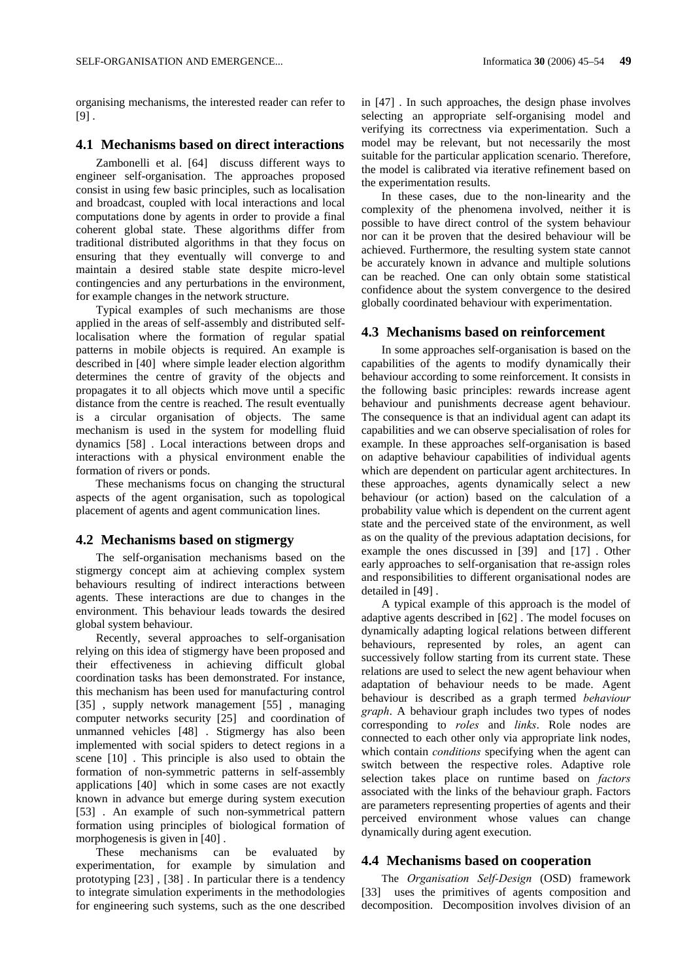organising mechanisms, the interested reader can refer to  $[9]$ .

#### **4.1 Mechanisms based on direct interactions**

Zambonelli et al. [64] discuss different ways to engineer self-organisation. The approaches proposed consist in using few basic principles, such as localisation and broadcast, coupled with local interactions and local computations done by agents in order to provide a final coherent global state. These algorithms differ from traditional distributed algorithms in that they focus on ensuring that they eventually will converge to and maintain a desired stable state despite micro-level contingencies and any perturbations in the environment, for example changes in the network structure.

Typical examples of such mechanisms are those applied in the areas of self-assembly and distributed selflocalisation where the formation of regular spatial patterns in mobile objects is required. An example is described in [40] where simple leader election algorithm determines the centre of gravity of the objects and propagates it to all objects which move until a specific distance from the centre is reached. The result eventually is a circular organisation of objects. The same mechanism is used in the system for modelling fluid dynamics [58] . Local interactions between drops and interactions with a physical environment enable the formation of rivers or ponds.

These mechanisms focus on changing the structural aspects of the agent organisation, such as topological placement of agents and agent communication lines.

#### **4.2 Mechanisms based on stigmergy**

The self-organisation mechanisms based on the stigmergy concept aim at achieving complex system behaviours resulting of indirect interactions between agents. These interactions are due to changes in the environment. This behaviour leads towards the desired global system behaviour.

Recently, several approaches to self-organisation relying on this idea of stigmergy have been proposed and their effectiveness in achieving difficult global coordination tasks has been demonstrated. For instance, this mechanism has been used for manufacturing control [35], supply network management [55], managing computer networks security [25] and coordination of unmanned vehicles [48] . Stigmergy has also been implemented with social spiders to detect regions in a scene [10] . This principle is also used to obtain the formation of non-symmetric patterns in self-assembly applications [40] which in some cases are not exactly known in advance but emerge during system execution [53] . An example of such non-symmetrical pattern formation using principles of biological formation of morphogenesis is given in [40].

These mechanisms can be evaluated by experimentation, for example by simulation and prototyping [23] , [38] . In particular there is a tendency to integrate simulation experiments in the methodologies for engineering such systems, such as the one described

in [47] . In such approaches, the design phase involves selecting an appropriate self-organising model and verifying its correctness via experimentation. Such a model may be relevant, but not necessarily the most suitable for the particular application scenario. Therefore, the model is calibrated via iterative refinement based on the experimentation results.

In these cases, due to the non-linearity and the complexity of the phenomena involved, neither it is possible to have direct control of the system behaviour nor can it be proven that the desired behaviour will be achieved. Furthermore, the resulting system state cannot be accurately known in advance and multiple solutions can be reached. One can only obtain some statistical confidence about the system convergence to the desired globally coordinated behaviour with experimentation.

#### **4.3 Mechanisms based on reinforcement**

In some approaches self-organisation is based on the capabilities of the agents to modify dynamically their behaviour according to some reinforcement. It consists in the following basic principles: rewards increase agent behaviour and punishments decrease agent behaviour. The consequence is that an individual agent can adapt its capabilities and we can observe specialisation of roles for example. In these approaches self-organisation is based on adaptive behaviour capabilities of individual agents which are dependent on particular agent architectures. In these approaches, agents dynamically select a new behaviour (or action) based on the calculation of a probability value which is dependent on the current agent state and the perceived state of the environment, as well as on the quality of the previous adaptation decisions, for example the ones discussed in [39] and [17] . Other early approaches to self-organisation that re-assign roles and responsibilities to different organisational nodes are detailed in [49] .

A typical example of this approach is the model of adaptive agents described in [62] . The model focuses on dynamically adapting logical relations between different behaviours, represented by roles, an agent can successively follow starting from its current state. These relations are used to select the new agent behaviour when adaptation of behaviour needs to be made. Agent behaviour is described as a graph termed *behaviour graph*. A behaviour graph includes two types of nodes corresponding to *roles* and *links*. Role nodes are connected to each other only via appropriate link nodes, which contain *conditions* specifying when the agent can switch between the respective roles. Adaptive role selection takes place on runtime based on *factors* associated with the links of the behaviour graph. Factors are parameters representing properties of agents and their perceived environment whose values can change dynamically during agent execution.

#### **4.4 Mechanisms based on cooperation**

The *Organisation Self-Design* (OSD) framework [33] uses the primitives of agents composition and decomposition. Decomposition involves division of an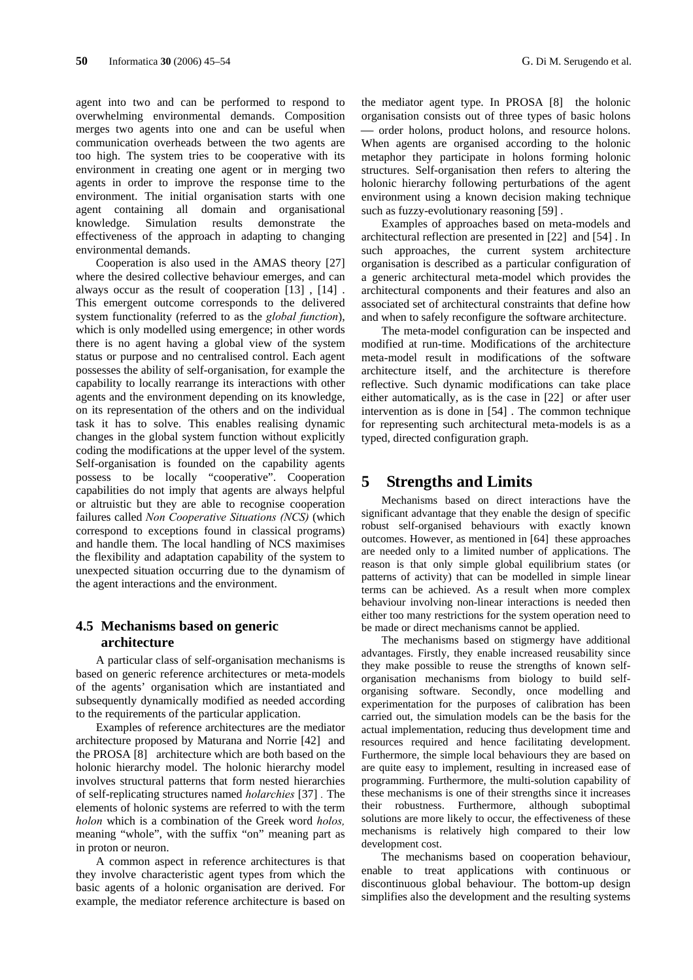agent into two and can be performed to respond to overwhelming environmental demands. Composition merges two agents into one and can be useful when communication overheads between the two agents are too high. The system tries to be cooperative with its environment in creating one agent or in merging two agents in order to improve the response time to the environment. The initial organisation starts with one agent containing all domain and organisational knowledge. Simulation results demonstrate the effectiveness of the approach in adapting to changing environmental demands.

Cooperation is also used in the AMAS theory [27] where the desired collective behaviour emerges, and can always occur as the result of cooperation [13] , [14] . This emergent outcome corresponds to the delivered system functionality (referred to as the *global function*), which is only modelled using emergence; in other words there is no agent having a global view of the system status or purpose and no centralised control. Each agent possesses the ability of self-organisation, for example the capability to locally rearrange its interactions with other agents and the environment depending on its knowledge, on its representation of the others and on the individual task it has to solve. This enables realising dynamic changes in the global system function without explicitly coding the modifications at the upper level of the system. Self-organisation is founded on the capability agents possess to be locally "cooperative". Cooperation capabilities do not imply that agents are always helpful or altruistic but they are able to recognise cooperation failures called *Non Cooperative Situations (NCS)* (which correspond to exceptions found in classical programs) and handle them. The local handling of NCS maximises the flexibility and adaptation capability of the system to unexpected situation occurring due to the dynamism of the agent interactions and the environment.

### **4.5 Mechanisms based on generic architecture**

A particular class of self-organisation mechanisms is based on generic reference architectures or meta-models of the agents' organisation which are instantiated and subsequently dynamically modified as needed according to the requirements of the particular application.

Examples of reference architectures are the mediator architecture proposed by Maturana and Norrie [42] and the PROSA [8] architecture which are both based on the holonic hierarchy model. The holonic hierarchy model involves structural patterns that form nested hierarchies of self-replicating structures named *holarchies* [37] *.* The elements of holonic systems are referred to with the term *holon* which is a combination of the Greek word *holos,*  meaning "whole", with the suffix "on" meaning part as in proton or neuron.

A common aspect in reference architectures is that they involve characteristic agent types from which the basic agents of a holonic organisation are derived. For example, the mediator reference architecture is based on the mediator agent type. In PROSA [8] the holonic organisation consists out of three types of basic holons ⎯ order holons, product holons, and resource holons. When agents are organised according to the holonic metaphor they participate in holons forming holonic structures. Self-organisation then refers to altering the holonic hierarchy following perturbations of the agent environment using a known decision making technique such as fuzzy-evolutionary reasoning [59] .

Examples of approaches based on meta-models and architectural reflection are presented in [22] and [54] . In such approaches, the current system architecture organisation is described as a particular configuration of a generic architectural meta-model which provides the architectural components and their features and also an associated set of architectural constraints that define how and when to safely reconfigure the software architecture.

The meta-model configuration can be inspected and modified at run-time. Modifications of the architecture meta-model result in modifications of the software architecture itself, and the architecture is therefore reflective. Such dynamic modifications can take place either automatically, as is the case in [22] or after user intervention as is done in [54] . The common technique for representing such architectural meta-models is as a typed, directed configuration graph.

## **5 Strengths and Limits**

Mechanisms based on direct interactions have the significant advantage that they enable the design of specific robust self-organised behaviours with exactly known outcomes. However, as mentioned in [64] these approaches are needed only to a limited number of applications. The reason is that only simple global equilibrium states (or patterns of activity) that can be modelled in simple linear terms can be achieved. As a result when more complex behaviour involving non-linear interactions is needed then either too many restrictions for the system operation need to be made or direct mechanisms cannot be applied.

The mechanisms based on stigmergy have additional advantages. Firstly, they enable increased reusability since they make possible to reuse the strengths of known selforganisation mechanisms from biology to build selforganising software. Secondly, once modelling and experimentation for the purposes of calibration has been carried out, the simulation models can be the basis for the actual implementation, reducing thus development time and resources required and hence facilitating development. Furthermore, the simple local behaviours they are based on are quite easy to implement, resulting in increased ease of programming. Furthermore, the multi-solution capability of these mechanisms is one of their strengths since it increases their robustness. Furthermore, although suboptimal solutions are more likely to occur, the effectiveness of these mechanisms is relatively high compared to their low development cost.

The mechanisms based on cooperation behaviour, enable to treat applications with continuous or discontinuous global behaviour. The bottom-up design simplifies also the development and the resulting systems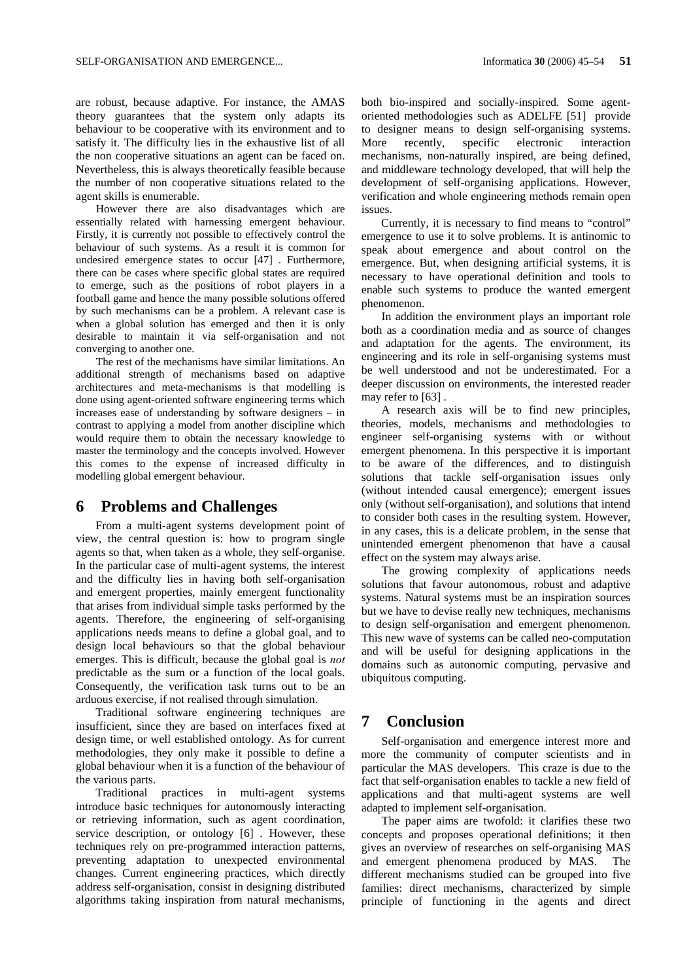are robust, because adaptive. For instance, the AMAS theory guarantees that the system only adapts its behaviour to be cooperative with its environment and to satisfy it. The difficulty lies in the exhaustive list of all the non cooperative situations an agent can be faced on. Nevertheless, this is always theoretically feasible because the number of non cooperative situations related to the agent skills is enumerable.

However there are also disadvantages which are essentially related with harnessing emergent behaviour. Firstly, it is currently not possible to effectively control the behaviour of such systems. As a result it is common for undesired emergence states to occur [47] . Furthermore, there can be cases where specific global states are required to emerge, such as the positions of robot players in a football game and hence the many possible solutions offered by such mechanisms can be a problem. A relevant case is when a global solution has emerged and then it is only desirable to maintain it via self-organisation and not converging to another one.

The rest of the mechanisms have similar limitations. An additional strength of mechanisms based on adaptive architectures and meta-mechanisms is that modelling is done using agent-oriented software engineering terms which increases ease of understanding by software designers – in contrast to applying a model from another discipline which would require them to obtain the necessary knowledge to master the terminology and the concepts involved. However this comes to the expense of increased difficulty in modelling global emergent behaviour.

### **6 Problems and Challenges**

From a multi-agent systems development point of view, the central question is: how to program single agents so that, when taken as a whole, they self-organise. In the particular case of multi-agent systems, the interest and the difficulty lies in having both self-organisation and emergent properties, mainly emergent functionality that arises from individual simple tasks performed by the agents. Therefore, the engineering of self-organising applications needs means to define a global goal, and to design local behaviours so that the global behaviour emerges. This is difficult, because the global goal is *not* predictable as the sum or a function of the local goals. Consequently, the verification task turns out to be an arduous exercise, if not realised through simulation.

Traditional software engineering techniques are insufficient, since they are based on interfaces fixed at design time, or well established ontology. As for current methodologies, they only make it possible to define a global behaviour when it is a function of the behaviour of the various parts.

Traditional practices in multi-agent systems introduce basic techniques for autonomously interacting or retrieving information, such as agent coordination, service description, or ontology [6] . However, these techniques rely on pre-programmed interaction patterns, preventing adaptation to unexpected environmental changes. Current engineering practices, which directly address self-organisation, consist in designing distributed algorithms taking inspiration from natural mechanisms, both bio-inspired and socially-inspired. Some agentoriented methodologies such as ADELFE [51] provide to designer means to design self-organising systems. More recently, specific electronic interaction mechanisms, non-naturally inspired, are being defined, and middleware technology developed, that will help the development of self-organising applications. However, verification and whole engineering methods remain open issues.

Currently, it is necessary to find means to "control" emergence to use it to solve problems. It is antinomic to speak about emergence and about control on the emergence. But, when designing artificial systems, it is necessary to have operational definition and tools to enable such systems to produce the wanted emergent phenomenon.

In addition the environment plays an important role both as a coordination media and as source of changes and adaptation for the agents. The environment, its engineering and its role in self-organising systems must be well understood and not be underestimated. For a deeper discussion on environments, the interested reader may refer to [63] .

A research axis will be to find new principles, theories, models, mechanisms and methodologies to engineer self-organising systems with or without emergent phenomena. In this perspective it is important to be aware of the differences, and to distinguish solutions that tackle self-organisation issues only (without intended causal emergence); emergent issues only (without self-organisation), and solutions that intend to consider both cases in the resulting system. However, in any cases, this is a delicate problem, in the sense that unintended emergent phenomenon that have a causal effect on the system may always arise.

The growing complexity of applications needs solutions that favour autonomous, robust and adaptive systems. Natural systems must be an inspiration sources but we have to devise really new techniques, mechanisms to design self-organisation and emergent phenomenon. This new wave of systems can be called neo-computation and will be useful for designing applications in the domains such as autonomic computing, pervasive and ubiquitous computing.

## **7 Conclusion**

Self-organisation and emergence interest more and more the community of computer scientists and in particular the MAS developers. This craze is due to the fact that self-organisation enables to tackle a new field of applications and that multi-agent systems are well adapted to implement self-organisation.

The paper aims are twofold: it clarifies these two concepts and proposes operational definitions; it then gives an overview of researches on self-organising MAS and emergent phenomena produced by MAS. The different mechanisms studied can be grouped into five families: direct mechanisms, characterized by simple principle of functioning in the agents and direct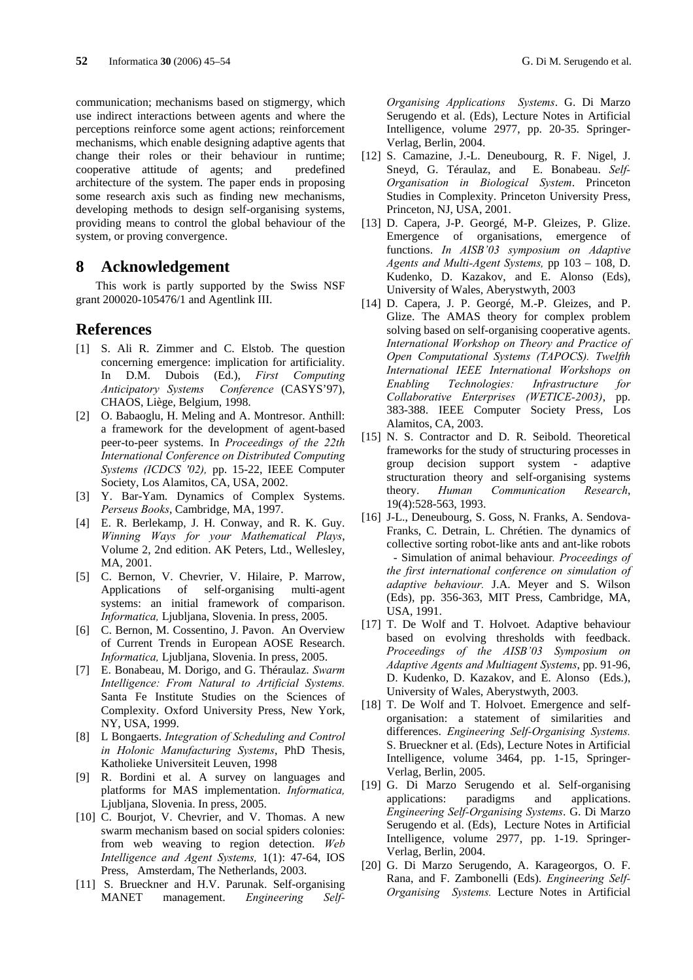communication; mechanisms based on stigmergy, which use indirect interactions between agents and where the perceptions reinforce some agent actions; reinforcement mechanisms, which enable designing adaptive agents that change their roles or their behaviour in runtime; cooperative attitude of agents; and predefined architecture of the system. The paper ends in proposing some research axis such as finding new mechanisms, developing methods to design self-organising systems, providing means to control the global behaviour of the system, or proving convergence.

#### **8 Acknowledgement**

This work is partly supported by the Swiss NSF grant 200020-105476/1 and Agentlink III.

### **References**

- [1] S. Ali R. Zimmer and C. Elstob. The question concerning emergence: implication for artificiality. In D.M. Dubois (Ed.), *First Computing Anticipatory Systems Conference* (CASYS'97), CHAOS, Liège, Belgium, 1998.
- [2] O. Babaoglu, H. Meling and A. Montresor. Anthill: a framework for the development of agent-based peer-to-peer systems. In *Proceedings of the 22th International Conference on Distributed Computing Systems (ICDCS '02),* pp. 15-22, IEEE Computer Society, Los Alamitos, CA, USA, 2002.
- [3] Y. Bar-Yam. Dynamics of Complex Systems. *Perseus Books*, Cambridge, MA, 1997.
- [4] E. R. Berlekamp, J. H. Conway, and R. K. Guy. *Winning Ways for your Mathematical Plays*, Volume 2, 2nd edition. AK Peters, Ltd., Wellesley, MA, 2001.
- [5] C. Bernon, V. Chevrier, V. Hilaire, P. Marrow, Applications of self-organising multi-agent systems: an initial framework of comparison. *Informatica,* Ljubljana, Slovenia. In press, 2005.
- [6] C. Bernon, M. Cossentino, J. Pavon. An Overview of Current Trends in European AOSE Research. *Informatica,* Ljubljana, Slovenia. In press, 2005.
- [7] E. Bonabeau, M. Dorigo, and G. Théraulaz. *Swarm Intelligence: From Natural to Artificial Systems.* Santa Fe Institute Studies on the Sciences of Complexity. Oxford University Press, New York, NY, USA, 1999.
- [8] L Bongaerts. *Integration of Scheduling and Control in Holonic Manufacturing Systems*, PhD Thesis, Katholieke Universiteit Leuven, 1998
- [9] R. Bordini et al. A survey on languages and platforms for MAS implementation. *Informatica,*  Ljubljana, Slovenia. In press, 2005.
- [10] C. Bourjot, V. Chevrier, and V. Thomas. A new swarm mechanism based on social spiders colonies: from web weaving to region detection. *Web Intelligence and Agent Systems,* 1(1): 47-64, IOS Press, Amsterdam, The Netherlands, 2003.
- [11] S. Brueckner and H.V. Parunak. Self-organising MANET management. *Engineering Self-*

*Organising Applications Systems*. G. Di Marzo Serugendo et al. (Eds), Lecture Notes in Artificial Intelligence, volume 2977, pp. 20-35. Springer-Verlag, Berlin, 2004.

- [12] S. Camazine, J.-L. Deneubourg, R. F. Nigel, J. Sneyd, G. Téraulaz, and E. Bonabeau. *Self-Organisation in Biological System*. Princeton Studies in Complexity. Princeton University Press, Princeton, NJ, USA, 2001.
- [13] D. Capera, J-P. Georgé, M-P. Gleizes, P. Glize. Emergence of organisations, emergence of functions. *In AISB'03 symposium on Adaptive Agents and Multi-Agent Systems,* pp 103 – 108, D. Kudenko, D. Kazakov, and E. Alonso (Eds), University of Wales, Aberystwyth, 2003
- [14] D. Capera, J. P. Georgé, M.-P. Gleizes, and P. Glize. The AMAS theory for complex problem solving based on self-organising cooperative agents. *International Workshop on Theory and Practice of Open Computational Systems (TAPOCS). Twelfth International IEEE International Workshops on Enabling Technologies: Infrastructure for Collaborative Enterprises (WETICE-2003)*, pp. 383-388. IEEE Computer Society Press, Los Alamitos, CA, 2003.
- [15] N. S. Contractor and D. R. Seibold. Theoretical frameworks for the study of structuring processes in group decision support system - adaptive structuration theory and self-organising systems theory. *Human Communication Research*, 19(4):528-563, 1993.
- [16] J-L., Deneubourg, S. Goss, N. Franks, A. Sendova-Franks, C. Detrain, L. Chrétien. The dynamics of collective sorting robot-like ants and ant-like robots - Simulation of animal behaviour*. Proceedings of the first international conference on simulation of adaptive behaviour.* J.A. Meyer and S. Wilson (Eds), pp. 356-363, MIT Press, Cambridge, MA, USA, 1991.
- [17] T. De Wolf and T. Holvoet. Adaptive behaviour based on evolving thresholds with feedback. *Proceedings of the AISB'03 Symposium on Adaptive Agents and Multiagent Systems*, pp. 91-96, D. Kudenko, D. Kazakov, and E. Alonso (Eds.), University of Wales, Aberystwyth, 2003.
- [18] T. De Wolf and T. Holvoet. Emergence and selforganisation: a statement of similarities and differences. *Engineering Self-Organising Systems.* S. Brueckner et al. (Eds), Lecture Notes in Artificial Intelligence, volume 3464, pp. 1-15, Springer-Verlag, Berlin, 2005.
- [19] G. Di Marzo Serugendo et al. Self-organising applications: paradigms and applications. *Engineering Self-Organising Systems*. G. Di Marzo Serugendo et al. (Eds), Lecture Notes in Artificial Intelligence, volume 2977, pp. 1-19. Springer-Verlag, Berlin, 2004.
- [20] G. Di Marzo Serugendo, A. Karageorgos, O. F. Rana, and F. Zambonelli (Eds). *Engineering Self-Organising Systems.* Lecture Notes in Artificial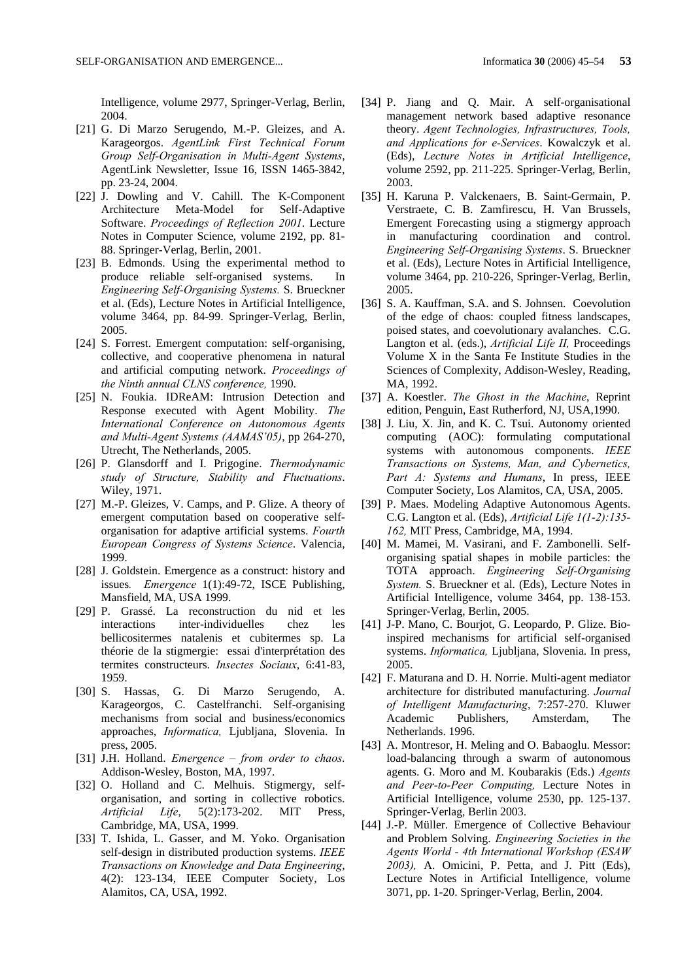Intelligence, volume 2977, Springer-Verlag, Berlin, 2004.

- [21] G. Di Marzo Serugendo, M.-P. Gleizes, and A. Karageorgos. *AgentLink First Technical Forum Group Self-Organisation in Multi-Agent Systems*, AgentLink Newsletter, Issue 16, ISSN 1465-3842, pp. 23-24, 2004.
- [22] J. Dowling and V. Cahill. The K-Component Architecture Meta-Model for Self-Adaptive Software. *Proceedings of Reflection 2001*. Lecture Notes in Computer Science, volume 2192, pp. 81- 88. Springer-Verlag, Berlin, 2001.
- [23] B. Edmonds. Using the experimental method to produce reliable self-organised systems. In *Engineering Self-Organising Systems.* S. Brueckner et al. (Eds), Lecture Notes in Artificial Intelligence, volume 3464, pp. 84-99. Springer-Verlag, Berlin, 2005.
- [24] S. Forrest. Emergent computation: self-organising, collective, and cooperative phenomena in natural and artificial computing network. *Proceedings of the Ninth annual CLNS conference,* 1990.
- [25] N. Foukia. IDReAM: Intrusion Detection and Response executed with Agent Mobility. *The International Conference on Autonomous Agents and Multi-Agent Systems (AAMAS'05)*, pp 264-270, Utrecht, The Netherlands, 2005.
- [26] P. Glansdorff and I. Prigogine. *Thermodynamic study of Structure, Stability and Fluctuations*. Wiley, 1971.
- [27] M.-P. Gleizes, V. Camps, and P. Glize. A theory of emergent computation based on cooperative selforganisation for adaptive artificial systems. *Fourth European Congress of Systems Science*. Valencia, 1999.
- [28] J. Goldstein. Emergence as a construct: history and issues*. Emergence* 1(1):49-72, ISCE Publishing, Mansfield, MA, USA 1999.
- [29] P. Grassé. La reconstruction du nid et les interactions inter-individuelles chez les bellicositermes natalenis et cubitermes sp. La théorie de la stigmergie: essai d'interprétation des termites constructeurs. *Insectes Sociaux*, 6:41-83, 1959.
- [30] S. Hassas, G. Di Marzo Serugendo, A. Karageorgos, C. Castelfranchi. Self-organising mechanisms from social and business/economics approaches, *Informatica,* Ljubljana, Slovenia. In press, 2005.
- [31] J.H. Holland. *Emergence from order to chaos*. Addison-Wesley, Boston, MA, 1997.
- [32] O. Holland and C. Melhuis. Stigmergy, selforganisation, and sorting in collective robotics. *Artificial Life*, 5(2):173-202. MIT Press, Cambridge, MA, USA, 1999.
- [33] T. Ishida, L. Gasser, and M. Yoko. Organisation self-design in distributed production systems. *IEEE Transactions on Knowledge and Data Engineering*, 4(2): 123-134, IEEE Computer Society, Los Alamitos, CA, USA, 1992.
- [34] P. Jiang and Q. Mair. A self-organisational management network based adaptive resonance theory. *Agent Technologies, Infrastructures, Tools, and Applications for e-Services*. Kowalczyk et al. (Eds), *Lecture Notes in Artificial Intelligence*, volume 2592, pp. 211-225. Springer-Verlag, Berlin, 2003.
- [35] H. Karuna P. Valckenaers, B. Saint-Germain, P. Verstraete, C. B. Zamfirescu, H. Van Brussels, Emergent Forecasting using a stigmergy approach in manufacturing coordination and control. *Engineering Self-Organising Systems*. S. Brueckner et al. (Eds), Lecture Notes in Artificial Intelligence, volume 3464, pp. 210-226, Springer-Verlag, Berlin, 2005.
- [36] S. A. Kauffman, S.A. and S. Johnsen. Coevolution of the edge of chaos: coupled fitness landscapes, poised states, and coevolutionary avalanches. C.G. Langton et al. (eds.), *Artificial Life II,* Proceedings Volume X in the Santa Fe Institute Studies in the Sciences of Complexity, Addison-Wesley, Reading, MA, 1992.
- [37] A. Koestler. *The Ghost in the Machine*, Reprint edition, Penguin, East Rutherford, NJ, USA,1990.
- [38] J. Liu, X. Jin, and K. C. Tsui. Autonomy oriented computing (AOC): formulating computational systems with autonomous components. *IEEE Transactions on Systems, Man, and Cybernetics, Part A: Systems and Humans*, In press, IEEE Computer Society, Los Alamitos, CA, USA, 2005.
- [39] P. Maes. Modeling Adaptive Autonomous Agents. C.G. Langton et al. (Eds), *Artificial Life 1(1-2):135- 162,* MIT Press, Cambridge, MA, 1994.
- [40] M. Mamei, M. Vasirani, and F. Zambonelli. Selforganising spatial shapes in mobile particles: the TOTA approach. *Engineering Self-Organising System.* S. Brueckner et al. (Eds), Lecture Notes in Artificial Intelligence, volume 3464, pp. 138-153. Springer-Verlag, Berlin, 2005.
- [41] J-P. Mano, C. Bourjot, G. Leopardo, P. Glize. Bioinspired mechanisms for artificial self-organised systems. *Informatica,* Ljubljana, Slovenia. In press, 2005.
- [42] F. Maturana and D. H. Norrie. Multi-agent mediator architecture for distributed manufacturing. *Journal of Intelligent Manufacturing*, 7:257-270. Kluwer Academic Publishers, Amsterdam, The Netherlands. 1996.
- [43] A. Montresor, H. Meling and O. Babaoglu. Messor: load-balancing through a swarm of autonomous agents. G. Moro and M. Koubarakis (Eds.) *Agents and Peer-to-Peer Computing,* Lecture Notes in Artificial Intelligence, volume 2530, pp. 125-137. Springer-Verlag, Berlin 2003.
- [44] J.-P. Müller. Emergence of Collective Behaviour and Problem Solving. *Engineering Societies in the Agents World - 4th International Workshop (ESAW 2003),* A. Omicini, P. Petta, and J. Pitt (Eds), Lecture Notes in Artificial Intelligence, volume 3071, pp. 1-20. Springer-Verlag, Berlin, 2004.